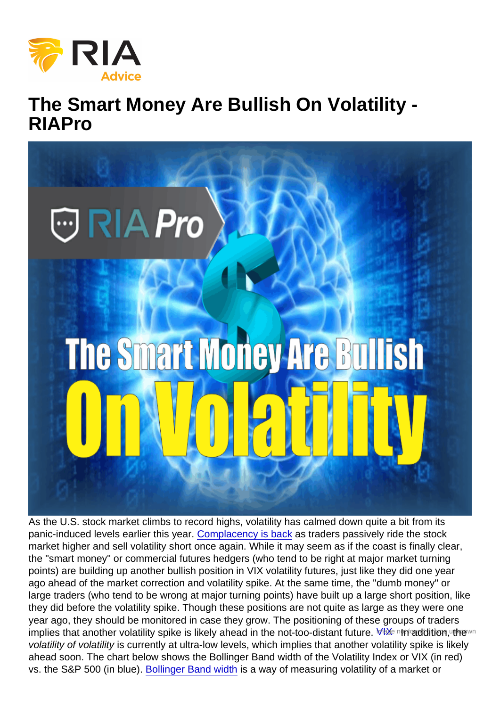## The Smart Money Are Bullish On Volatility - RIAPro

As the U.S. stock market climbs to record highs, volatility has calmed down quite a bit from its panic-induced levels earlier this year. [Complacency is back](https://realinvestmentadvice.com/technically-speaking-can-you-feel-the-complacency/) as traders passively ride the stock market higher and sell volatility short once again. While it may seem as if the coast is finally clear, the "smart money" or commercial futures hedgers (who tend to be right at major market turning points) are building up another bullish position in VIX volatility futures, just like they did one year ago ahead of the market correction and volatility spike. At the same time, the "dumb money" or large traders (who tend to be wrong at major turning points) have built up a large short position, like they did before the volatility spike. Though these positions are not quite as large as they were one year ago, they should be monitored in case they grow. The positioning of these groups of traders implies that another volatility spike is likely ahead in the not-too-distant future. MAX intraddition, the wn volatility of volatility is currently at ultra-low levels, which implies that another volatility spike is likely ahead soon. The chart below shows the Bollinger Band width of the Volatility Index or VIX (in red) vs. the S&P 500 (in blue). [Bollinger Band width](https://stockcharts.com/school/doku.php?id=chart_school:technical_indicators:bollinger_band_width) is a way of measuring volatility of a market or